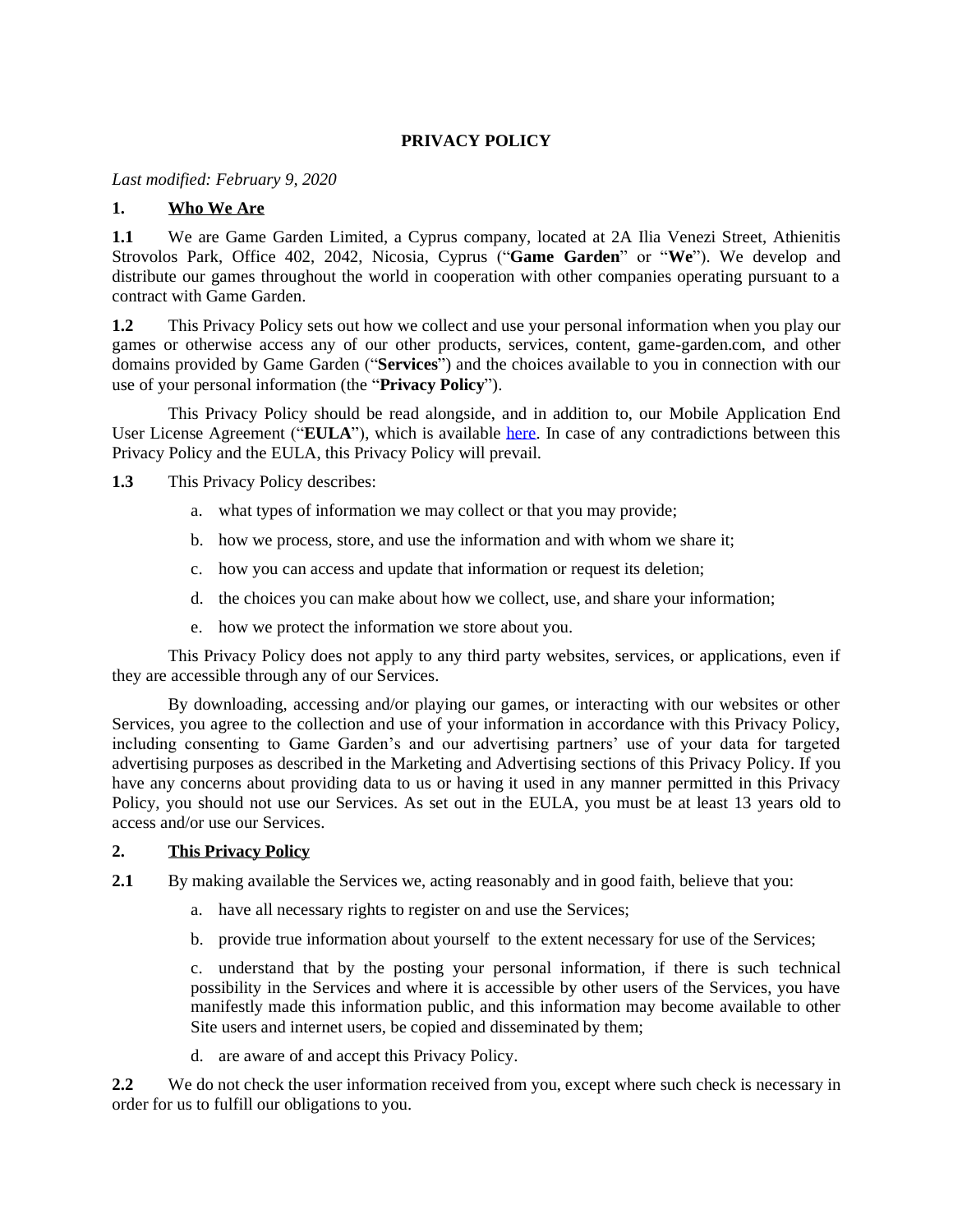# **PRIVACY POLICY**

*Last modified: February 9, 2020*

#### **1. Who We Are**

**1.1** We are Game Garden Limited, a Cyprus company, located at 2A Ilia Venezi Street, Athienitis Strovolos Park, Office 402, 2042, Nicosia, Cyprus ("**Game Garden**" or "**We**"). We develop and distribute our games throughout the world in cooperation with other companies operating pursuant to a contract with Game Garden.

**1.2** This Privacy Policy sets out how we collect and use your personal information when you play our games or otherwise access any of our other products, services, content, game-garden.com, and other domains provided by Game Garden ("**Services**") and the choices available to you in connection with our use of your personal information (the "**Privacy Policy**").

This Privacy Policy should be read alongside, and in addition to, our Mobile Application End User License Agreement ("**EULA**"), which is available [here.](http://www.game-garden.com/files/settings/11/ggeula.pdf?1417724149) In case of any contradictions between this Privacy Policy and the EULA, this Privacy Policy will prevail.

**1.3** This Privacy Policy describes:

- a. what types of information we may collect or that you may provide;
- b. how we process, store, and use the information and with whom we share it;
- c. how you can access and update that information or request its deletion;
- d. the choices you can make about how we collect, use, and share your information;
- e. how we protect the information we store about you.

This Privacy Policy does not apply to any third party websites, services, or applications, even if they are accessible through any of our Services.

By downloading, accessing and/or playing our games, or interacting with our websites or other Services, you agree to the collection and use of your information in accordance with this Privacy Policy, including consenting to Game Garden's and our advertising partners' use of your data for targeted advertising purposes as described in the Marketing and Advertising sections of this Privacy Policy. If you have any concerns about providing data to us or having it used in any manner permitted in this Privacy Policy, you should not use our Services. As set out in the EULA, you must be at least 13 years old to access and/or use our Services.

#### **2. This Privacy Policy**

- **2.1** By making available the Services we, acting reasonably and in good faith, believe that you:
	- a. have all necessary rights to register on and use the Services;
	- b. provide true information about yourself to the extent necessary for use of the Services;

c. understand that by the posting your personal information, if there is such technical possibility in the Services and where it is accessible by other users of the Services, you have manifestly made this information public, and this information may become available to other Site users and internet users, be copied and disseminated by them;

d. are aware of and accept this Privacy Policy.

**2.2** We do not check the user information received from you, except where such check is necessary in order for us to fulfill our obligations to you.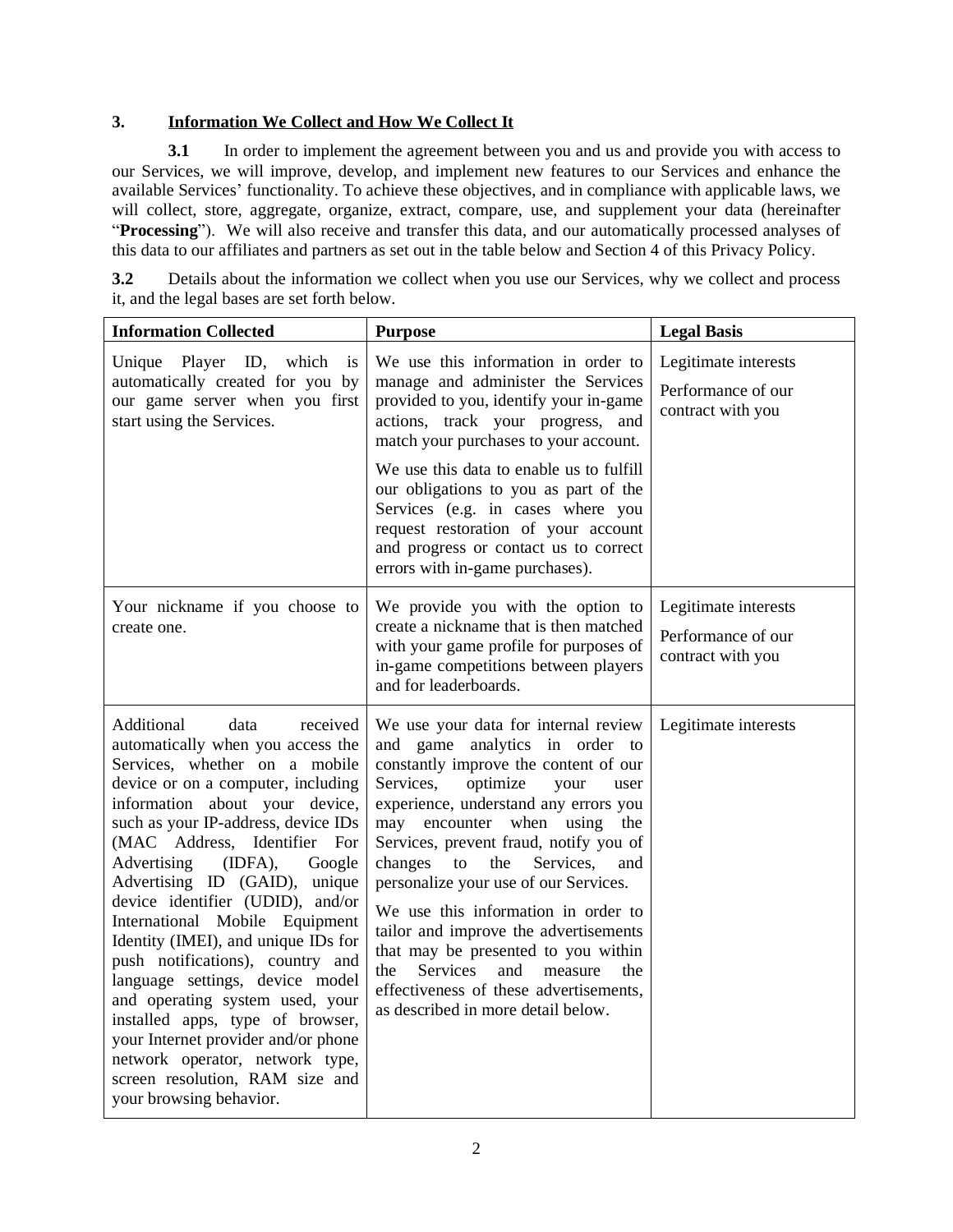#### **3. Information We Collect and How We Collect It**

**3.1** In order to implement the agreement between you and us and provide you with access to our Services, we will improve, develop, and implement new features to our Services and enhance the available Services' functionality. To achieve these objectives, and in compliance with applicable laws, we will collect, store, aggregate, organize, extract, compare, use, and supplement your data (hereinafter "**Processing**"). We will also receive and transfer this data, and our automatically processed analyses of this data to our affiliates and partners as set out in the table below and Section 4 of this Privacy Policy.

**3.2** Details about the information we collect when you use our Services, why we collect and process it, and the legal bases are set forth below.

| <b>Information Collected</b>                                                                                                                                                                                                                                                                                                                                                                                                                                                                                                                                                                                                                                                                                                | <b>Purpose</b>                                                                                                                                                                                                                                                                                                                                                                                                                                                                                                                                                                                                             | <b>Legal Basis</b>                                              |
|-----------------------------------------------------------------------------------------------------------------------------------------------------------------------------------------------------------------------------------------------------------------------------------------------------------------------------------------------------------------------------------------------------------------------------------------------------------------------------------------------------------------------------------------------------------------------------------------------------------------------------------------------------------------------------------------------------------------------------|----------------------------------------------------------------------------------------------------------------------------------------------------------------------------------------------------------------------------------------------------------------------------------------------------------------------------------------------------------------------------------------------------------------------------------------------------------------------------------------------------------------------------------------------------------------------------------------------------------------------------|-----------------------------------------------------------------|
| Player ID, which<br>Unique<br>is<br>automatically created for you by<br>our game server when you first<br>start using the Services.                                                                                                                                                                                                                                                                                                                                                                                                                                                                                                                                                                                         | We use this information in order to<br>manage and administer the Services<br>provided to you, identify your in-game<br>actions, track your progress, and<br>match your purchases to your account.<br>We use this data to enable us to fulfill<br>our obligations to you as part of the<br>Services (e.g. in cases where you<br>request restoration of your account<br>and progress or contact us to correct<br>errors with in-game purchases).                                                                                                                                                                             | Legitimate interests<br>Performance of our<br>contract with you |
| Your nickname if you choose to<br>create one.                                                                                                                                                                                                                                                                                                                                                                                                                                                                                                                                                                                                                                                                               | We provide you with the option to<br>create a nickname that is then matched<br>with your game profile for purposes of<br>in-game competitions between players<br>and for leaderboards.                                                                                                                                                                                                                                                                                                                                                                                                                                     | Legitimate interests<br>Performance of our<br>contract with you |
| Additional<br>data<br>received<br>automatically when you access the<br>Services, whether on a mobile<br>device or on a computer, including<br>information about your device,<br>such as your IP-address, device IDs<br>(MAC Address, Identifier For<br>(IDFA),<br>Advertising<br>Google<br>Advertising ID (GAID), unique<br>device identifier (UDID), and/or<br>International Mobile Equipment<br>Identity (IMEI), and unique IDs for<br>push notifications), country and<br>language settings, device model<br>and operating system used, your<br>installed apps, type of browser,<br>your Internet provider and/or phone<br>network operator, network type,<br>screen resolution, RAM size and<br>your browsing behavior. | We use your data for internal review<br>and game analytics in order to<br>constantly improve the content of our<br>Services,<br>optimize<br>your<br>user<br>experience, understand any errors you<br>may encounter when using<br>the<br>Services, prevent fraud, notify you of<br>Services,<br>changes<br>to the<br>and<br>personalize your use of our Services.<br>We use this information in order to<br>tailor and improve the advertisements<br>that may be presented to you within<br><b>Services</b><br>and<br>measure<br>the<br>the<br>effectiveness of these advertisements,<br>as described in more detail below. | Legitimate interests                                            |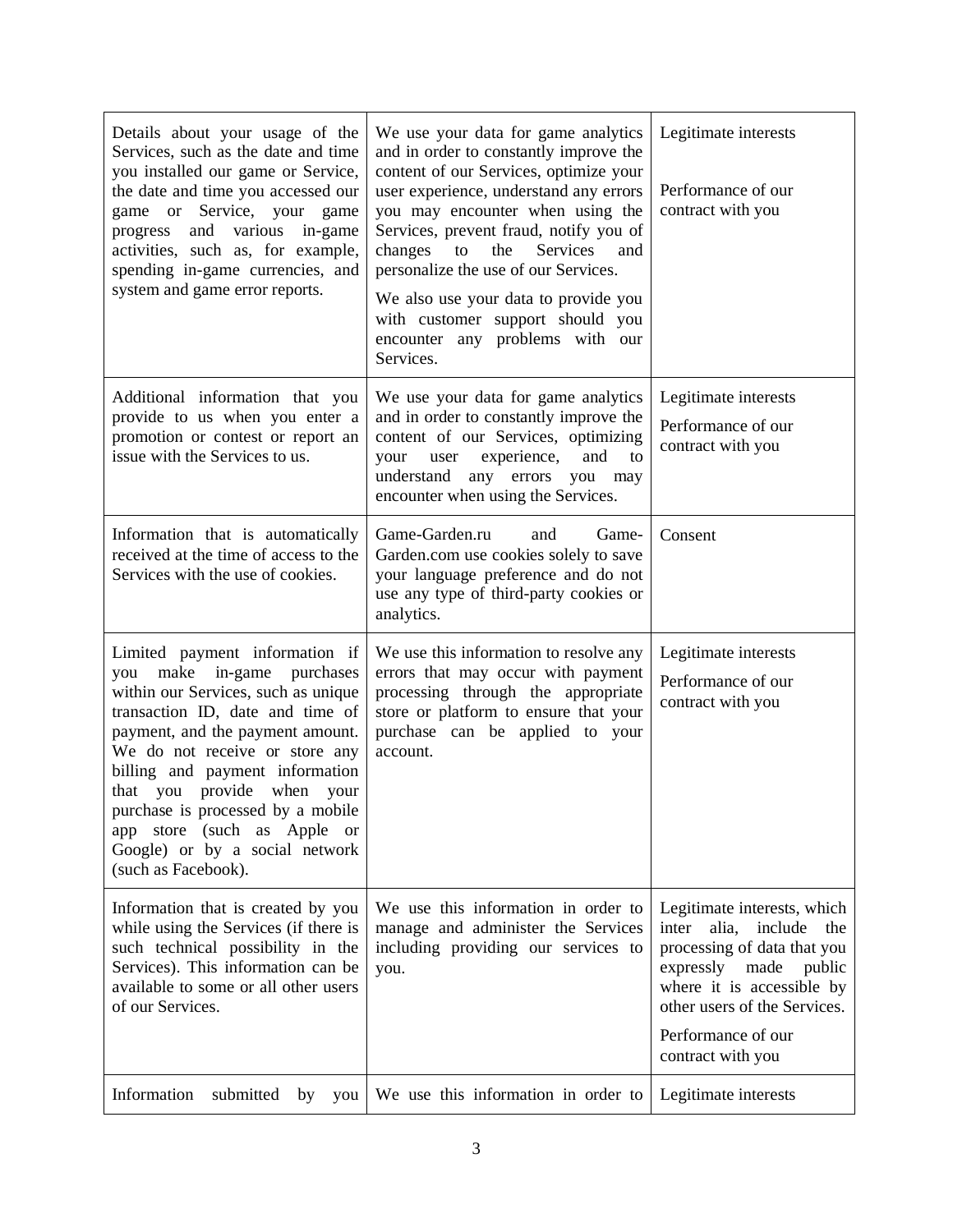| Details about your usage of the<br>Services, such as the date and time<br>you installed our game or Service,<br>the date and time you accessed our<br>game or Service, your game<br>progress and various in-game<br>activities, such as, for example,<br>spending in-game currencies, and<br>system and game error reports.                                                                                                        | We use your data for game analytics<br>and in order to constantly improve the<br>content of our Services, optimize your<br>user experience, understand any errors<br>you may encounter when using the<br>Services, prevent fraud, notify you of<br>Services<br>changes<br>the<br>to<br>and<br>personalize the use of our Services.<br>We also use your data to provide you<br>with customer support should you<br>encounter any problems with our<br>Services. | Legitimate interests<br>Performance of our<br>contract with you                                                                                                                                                                    |
|------------------------------------------------------------------------------------------------------------------------------------------------------------------------------------------------------------------------------------------------------------------------------------------------------------------------------------------------------------------------------------------------------------------------------------|----------------------------------------------------------------------------------------------------------------------------------------------------------------------------------------------------------------------------------------------------------------------------------------------------------------------------------------------------------------------------------------------------------------------------------------------------------------|------------------------------------------------------------------------------------------------------------------------------------------------------------------------------------------------------------------------------------|
| Additional information that you<br>provide to us when you enter a<br>promotion or contest or report an<br>issue with the Services to us.                                                                                                                                                                                                                                                                                           | We use your data for game analytics<br>and in order to constantly improve the<br>content of our Services, optimizing<br>experience,<br>and<br>user<br>to<br>your<br>understand<br>any errors you<br>may<br>encounter when using the Services.                                                                                                                                                                                                                  | Legitimate interests<br>Performance of our<br>contract with you                                                                                                                                                                    |
| Information that is automatically<br>received at the time of access to the<br>Services with the use of cookies.                                                                                                                                                                                                                                                                                                                    | Game-Garden.ru<br>Game-<br>and<br>Garden.com use cookies solely to save<br>your language preference and do not<br>use any type of third-party cookies or<br>analytics.                                                                                                                                                                                                                                                                                         | Consent                                                                                                                                                                                                                            |
| Limited payment information if<br>make<br>in-game<br>purchases<br>you<br>within our Services, such as unique<br>transaction ID, date and time of<br>payment, and the payment amount.<br>We do not receive or store any<br>billing and payment information<br>that you provide when your<br>purchase is processed by a mobile<br>app store (such as Apple<br><sub>or</sub><br>Google) or by a social network<br>(such as Facebook). | We use this information to resolve any<br>errors that may occur with payment<br>processing through the appropriate<br>store or platform to ensure that your<br>purchase can be applied to your<br>account.                                                                                                                                                                                                                                                     | Legitimate interests<br>Performance of our<br>contract with you                                                                                                                                                                    |
| Information that is created by you<br>while using the Services (if there is<br>such technical possibility in the<br>Services). This information can be<br>available to some or all other users<br>of our Services.                                                                                                                                                                                                                 | We use this information in order to<br>manage and administer the Services<br>including providing our services to<br>you.                                                                                                                                                                                                                                                                                                                                       | Legitimate interests, which<br>inter<br>alia,<br>include<br>the<br>processing of data that you<br>expressly made<br>public<br>where it is accessible by<br>other users of the Services.<br>Performance of our<br>contract with you |
| Information<br>submitted<br>by<br>you                                                                                                                                                                                                                                                                                                                                                                                              | We use this information in order to                                                                                                                                                                                                                                                                                                                                                                                                                            | Legitimate interests                                                                                                                                                                                                               |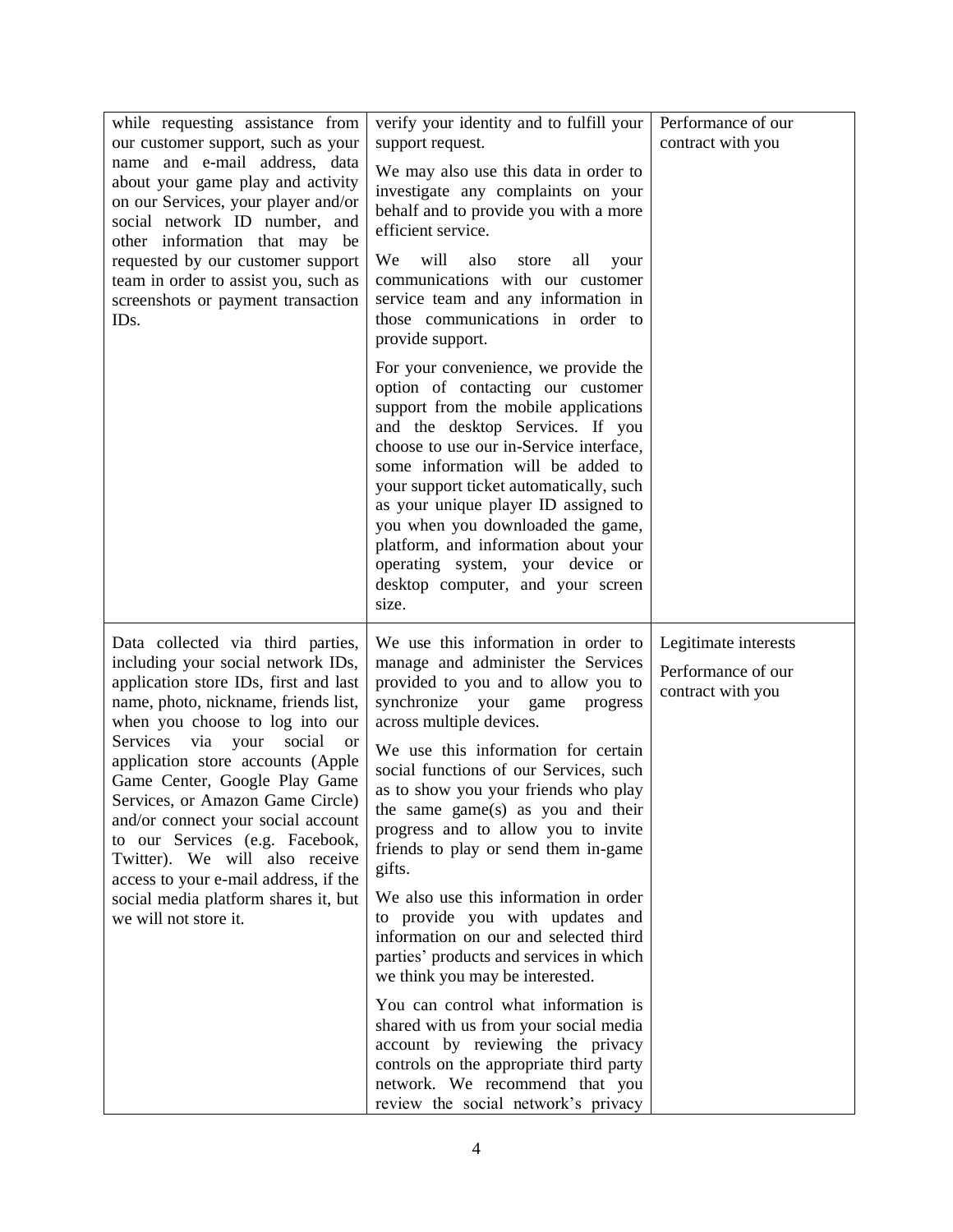| while requesting assistance from<br>our customer support, such as your<br>name and e-mail address, data<br>about your game play and activity<br>on our Services, your player and/or<br>social network ID number, and<br>other information that may be<br>requested by our customer support<br>team in order to assist you, such as<br>screenshots or payment transaction<br>ID <sub>s</sub> .                                                                                                             | verify your identity and to fulfill your<br>support request.<br>We may also use this data in order to<br>investigate any complaints on your<br>behalf and to provide you with a more<br>efficient service.<br>We<br>will<br>also<br>all<br>store<br>your<br>communications with our customer<br>service team and any information in<br>those communications in order to<br>provide support.                                                                                             | Performance of our<br>contract with you                         |
|-----------------------------------------------------------------------------------------------------------------------------------------------------------------------------------------------------------------------------------------------------------------------------------------------------------------------------------------------------------------------------------------------------------------------------------------------------------------------------------------------------------|-----------------------------------------------------------------------------------------------------------------------------------------------------------------------------------------------------------------------------------------------------------------------------------------------------------------------------------------------------------------------------------------------------------------------------------------------------------------------------------------|-----------------------------------------------------------------|
|                                                                                                                                                                                                                                                                                                                                                                                                                                                                                                           | For your convenience, we provide the<br>option of contacting our customer<br>support from the mobile applications<br>and the desktop Services. If you<br>choose to use our in-Service interface,<br>some information will be added to<br>your support ticket automatically, such<br>as your unique player ID assigned to<br>you when you downloaded the game,<br>platform, and information about your<br>operating system, your device or<br>desktop computer, and your screen<br>size. |                                                                 |
| Data collected via third parties,<br>including your social network IDs,<br>application store IDs, first and last<br>name, photo, nickname, friends list,<br>when you choose to log into our<br>Services via your<br>social<br><sub>or</sub><br>application store accounts (Apple<br>Game Center, Google Play Game<br>Services, or Amazon Game Circle)<br>and/or connect your social account<br>to our Services (e.g. Facebook,<br>Twitter). We will also receive<br>access to your e-mail address, if the | We use this information in order to<br>manage and administer the Services<br>provided to you and to allow you to<br>synchronize your game<br>progress<br>across multiple devices.<br>We use this information for certain<br>social functions of our Services, such<br>as to show you your friends who play<br>the same game(s) as you and their<br>progress and to allow you to invite<br>friends to play or send them in-game<br>gifts.<br>We also use this information in order       | Legitimate interests<br>Performance of our<br>contract with you |
| social media platform shares it, but<br>we will not store it.                                                                                                                                                                                                                                                                                                                                                                                                                                             | to provide you with updates and<br>information on our and selected third<br>parties' products and services in which<br>we think you may be interested.                                                                                                                                                                                                                                                                                                                                  |                                                                 |
|                                                                                                                                                                                                                                                                                                                                                                                                                                                                                                           | You can control what information is<br>shared with us from your social media<br>account by reviewing the privacy<br>controls on the appropriate third party<br>network. We recommend that you<br>review the social network's privacy                                                                                                                                                                                                                                                    |                                                                 |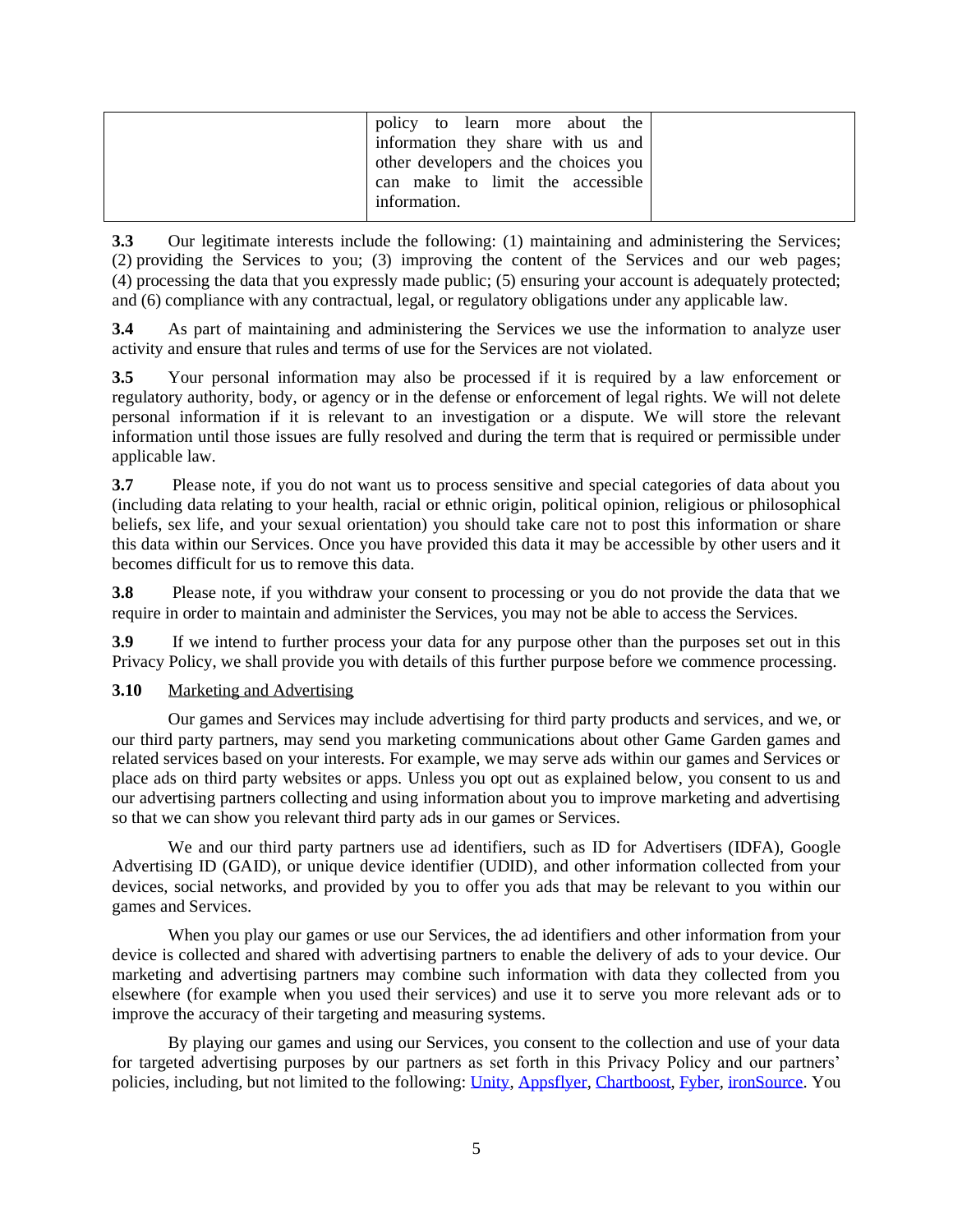| policy to learn more about the       |  |
|--------------------------------------|--|
| information they share with us and   |  |
| other developers and the choices you |  |
| can make to limit the accessible     |  |
| information.                         |  |
|                                      |  |

**3.3** Our legitimate interests include the following: (1) maintaining and administering the Services; (2) providing the Services to you; (3) improving the content of the Services and our web pages; (4) processing the data that you expressly made public; (5) ensuring your account is adequately protected; and (6) compliance with any contractual, legal, or regulatory obligations under any applicable law.

**3.4** As part of maintaining and administering the Services we use the information to analyze user activity and ensure that rules and terms of use for the Services are not violated.

**3.5** Your personal information may also be processed if it is required by a law enforcement or regulatory authority, body, or agency or in the defense or enforcement of legal rights. We will not delete personal information if it is relevant to an investigation or a dispute. We will store the relevant information until those issues are fully resolved and during the term that is required or permissible under applicable law.

**3.7** Please note, if you do not want us to process sensitive and special categories of data about you (including data relating to your health, racial or ethnic origin, political opinion, religious or philosophical beliefs, sex life, and your sexual orientation) you should take care not to post this information or share this data within our Services. Once you have provided this data it may be accessible by other users and it becomes difficult for us to remove this data.

**3.8** Please note, if you withdraw your consent to processing or you do not provide the data that we require in order to maintain and administer the Services, you may not be able to access the Services.

**3.9** If we intend to further process your data for any purpose other than the purposes set out in this Privacy Policy, we shall provide you with details of this further purpose before we commence processing.

#### **3.10** Marketing and Advertising

Our games and Services may include advertising for third party products and services, and we, or our third party partners, may send you marketing communications about other Game Garden games and related services based on your interests. For example, we may serve ads within our games and Services or place ads on third party websites or apps. Unless you opt out as explained below, you consent to us and our advertising partners collecting and using information about you to improve marketing and advertising so that we can show you relevant third party ads in our games or Services.

We and our third party partners use ad identifiers, such as ID for Advertisers (IDFA), Google Advertising ID (GAID), or unique device identifier (UDID), and other information collected from your devices, social networks, and provided by you to offer you ads that may be relevant to you within our games and Services.

When you play our games or use our Services, the ad identifiers and other information from your device is collected and shared with advertising partners to enable the delivery of ads to your device. Our marketing and advertising partners may combine such information with data they collected from you elsewhere (for example when you used their services) and use it to serve you more relevant ads or to improve the accuracy of their targeting and measuring systems.

By playing our games and using our Services, you consent to the collection and use of your data for targeted advertising purposes by our partners as set forth in this Privacy Policy and our partners' policies, including, but not limited to the following: [Unity,](https://unity3d.com/legal/privacy-policy) [Appsflyer,](https://www.appsflyer.com/privacy-policy/) [Chartboost,](https://answers.chartboost.com/en-us/articles/200780269) [Fyber,](https://www.fyber.com/legal/privacy-policy/) [ironSource.](http://www.ironsrc.com/wp-content/uploads/2017/01/ironSource-Privacy-Policy.pdf) You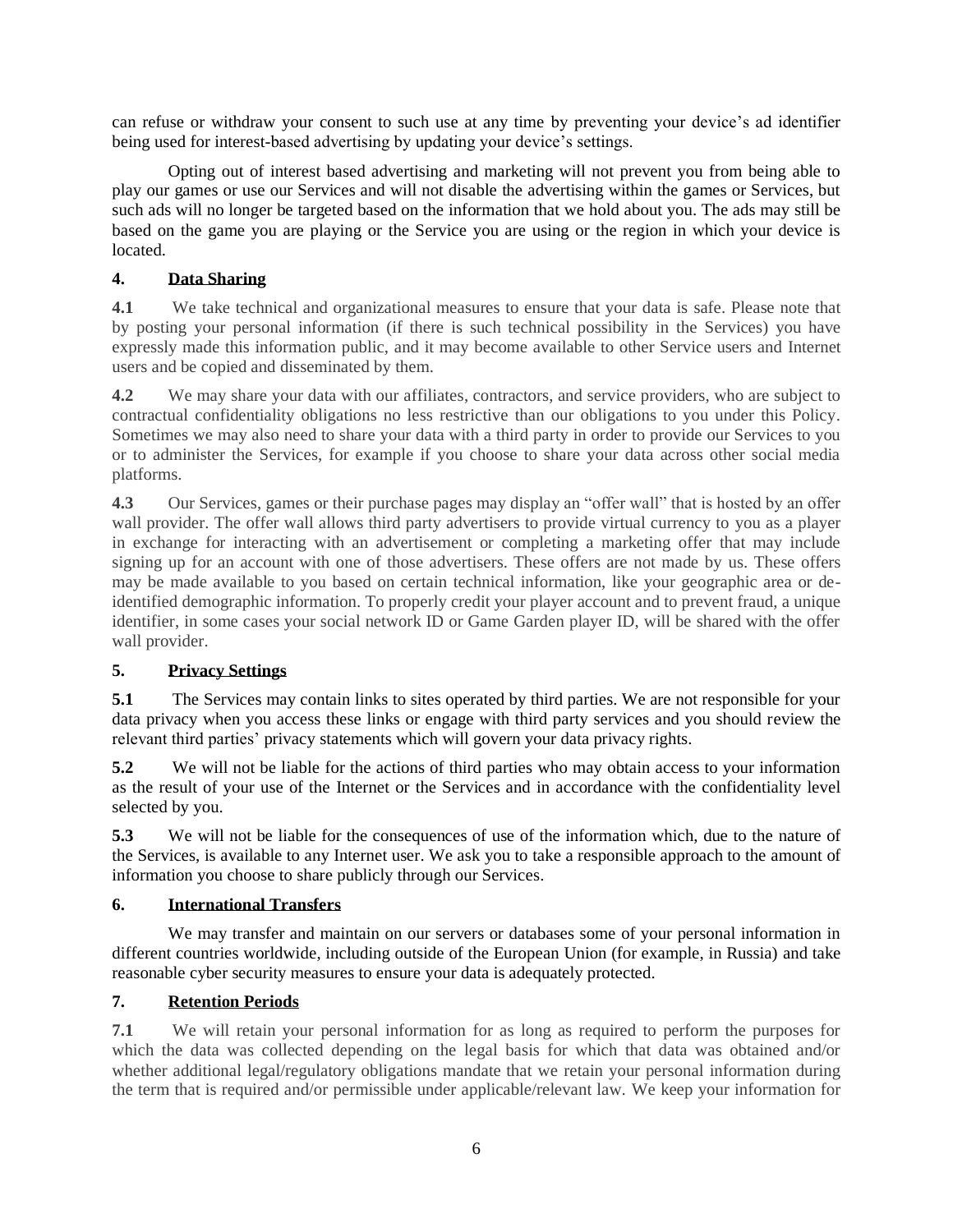can refuse or withdraw your consent to such use at any time by preventing your device's ad identifier being used for interest-based advertising by updating your device's settings.

Opting out of interest based advertising and marketing will not prevent you from being able to play our games or use our Services and will not disable the advertising within the games or Services, but such ads will no longer be targeted based on the information that we hold about you. The ads may still be based on the game you are playing or the Service you are using or the region in which your device is located.

# **4. Data Sharing**

**4.1** We take technical and organizational measures to ensure that your data is safe. Please note that by posting your personal information (if there is such technical possibility in the Services) you have expressly made this information public, and it may become available to other Service users and Internet users and be copied and disseminated by them.

**4.2** We may share your data with our affiliates, contractors, and service providers, who are subject to contractual confidentiality obligations no less restrictive than our obligations to you under this Policy. Sometimes we may also need to share your data with a third party in order to provide our Services to you or to administer the Services, for example if you choose to share your data across other social media platforms.

**4.3** Our Services, games or their purchase pages may display an "offer wall" that is hosted by an offer wall provider. The offer wall allows third party advertisers to provide virtual currency to you as a player in exchange for interacting with an advertisement or completing a marketing offer that may include signing up for an account with one of those advertisers. These offers are not made by us. These offers may be made available to you based on certain technical information, like your geographic area or deidentified demographic information. To properly credit your player account and to prevent fraud, a unique identifier, in some cases your social network ID or Game Garden player ID, will be shared with the offer wall provider.

# **5. Privacy Settings**

**5.1** The Services may contain links to sites operated by third parties. We are not responsible for your data privacy when you access these links or engage with third party services and you should review the relevant third parties' privacy statements which will govern your data privacy rights.

**5.2** We will not be liable for the actions of third parties who may obtain access to your information as the result of your use of the Internet or the Services and in accordance with the confidentiality level selected by you.

**5.3** We will not be liable for the consequences of use of the information which, due to the nature of the Services, is available to any Internet user. We ask you to take a responsible approach to the amount of information you choose to share publicly through our Services.

# **6. International Transfers**

We may transfer and maintain on our servers or databases some of your personal information in different countries worldwide, including outside of the European Union (for example, in Russia) and take reasonable cyber security measures to ensure your data is adequately protected.

# **7. Retention Periods**

**7.1** We will retain your personal information for as long as required to perform the purposes for which the data was collected depending on the legal basis for which that data was obtained and/or whether additional legal/regulatory obligations mandate that we retain your personal information during the term that is required and/or permissible under applicable/relevant law. We keep your information for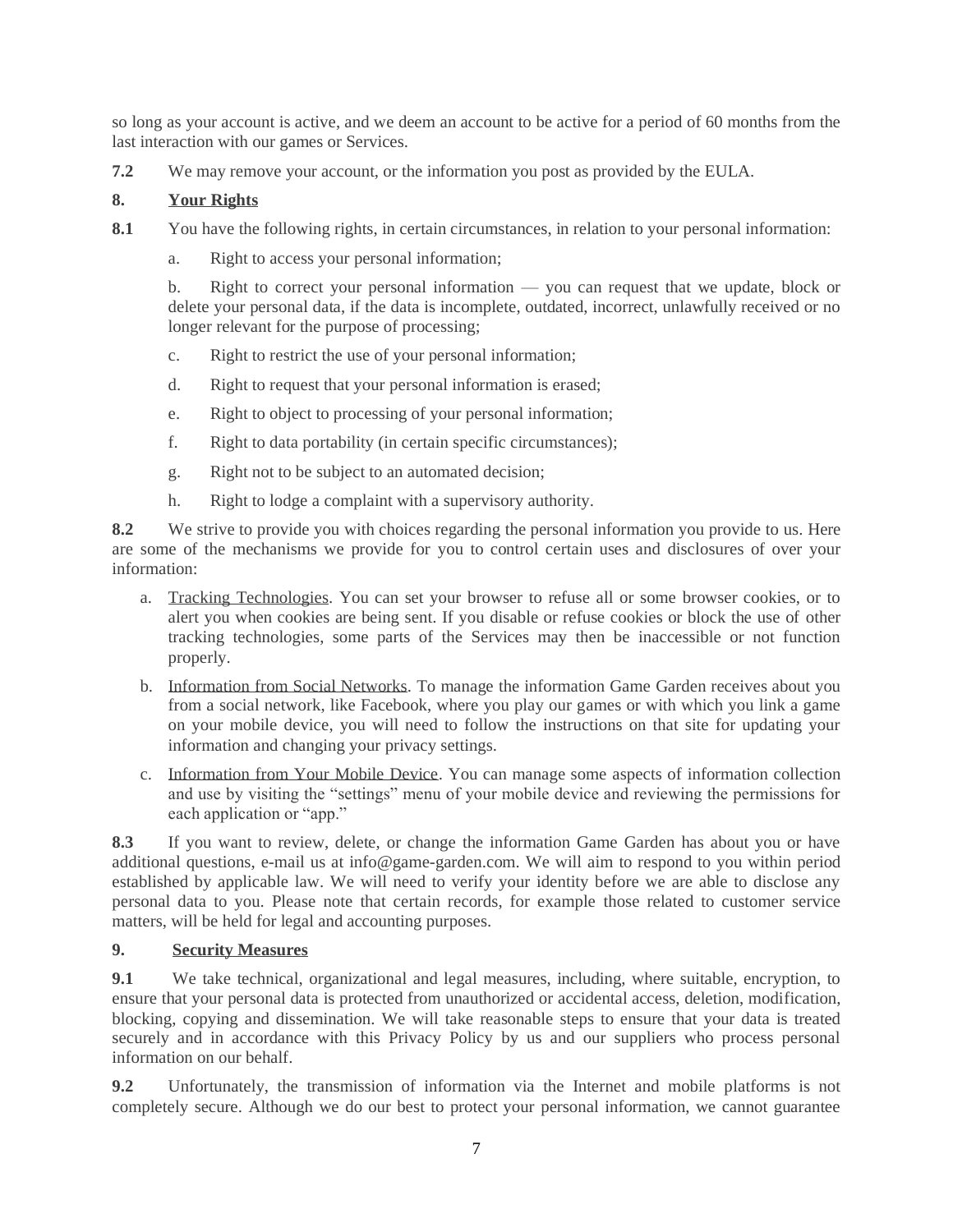so long as your account is active, and we deem an account to be active for a period of 60 months from the last interaction with our games or Services.

**7.2** We may remove your account, or the information you post as provided by the EULA.

### **8. Your Rights**

- **8.1** You have the following rights, in certain circumstances, in relation to your personal information:
	- a. Right to access your personal information;

b. Right to correct your personal information — you can request that we update, block or delete your personal data, if the data is incomplete, outdated, incorrect, unlawfully received or no longer relevant for the purpose of processing;

- c. Right to restrict the use of your personal information;
- d. Right to request that your personal information is erased;
- e. Right to object to processing of your personal information;
- f. Right to data portability (in certain specific circumstances);
- g. Right not to be subject to an automated decision;
- h. Right to lodge a complaint with a supervisory authority.

**8.2** We strive to provide you with choices regarding the personal information you provide to us. Here are some of the mechanisms we provide for you to control certain uses and disclosures of over your information:

- a. Tracking Technologies. You can set your browser to refuse all or some browser cookies, or to alert you when cookies are being sent. If you disable or refuse cookies or block the use of other tracking technologies, some parts of the Services may then be inaccessible or not function properly.
- b. Information from Social Networks. To manage the information Game Garden receives about you from a social network, like Facebook, where you play our games or with which you link a game on your mobile device, you will need to follow the instructions on that site for updating your information and changing your privacy settings.
- c. Information from Your Mobile Device. You can manage some aspects of information collection and use by visiting the "settings" menu of your mobile device and reviewing the permissions for each application or "app."

**8.3** If you want to review, delete, or change the information Game Garden has about you or have additional questions, e-mail us at info@game-garden.com. We will aim to respond to you within period established by applicable law. We will need to verify your identity before we are able to disclose any personal data to you. Please note that certain records, for example those related to customer service matters, will be held for legal and accounting purposes.

#### **9. Security Measures**

**9.1** We take technical, organizational and legal measures, including, where suitable, encryption, to ensure that your personal data is protected from unauthorized or accidental access, deletion, modification, blocking, copying and dissemination. We will take reasonable steps to ensure that your data is treated securely and in accordance with this Privacy Policy by us and our suppliers who process personal information on our behalf.

**9.2** Unfortunately, the transmission of information via the Internet and mobile platforms is not completely secure. Although we do our best to protect your personal information, we cannot guarantee